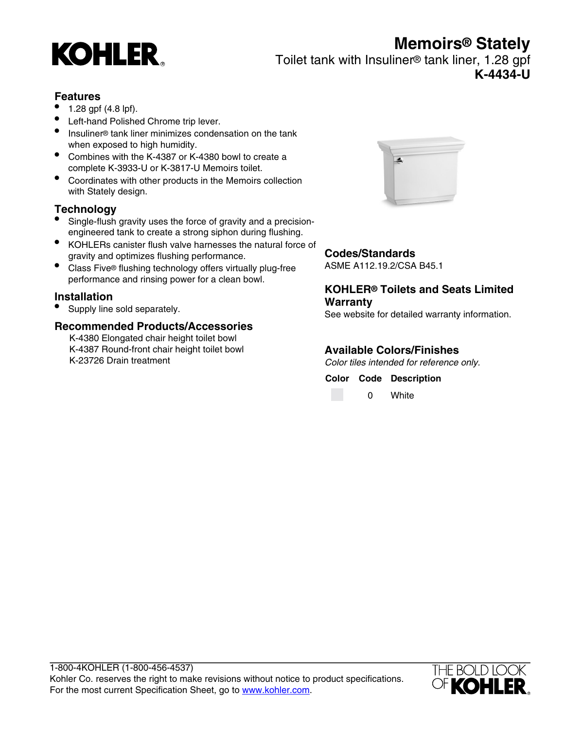# **Memoirs® Stately**



Toilet tank with Insuliner® tank liner, 1.28 gpf **K-4434-U**

#### **Features**

- 1.28 gpf (4.8 lpf).
- Left-hand Polished Chrome trip lever.
- Insuliner® tank liner minimizes condensation on the tank when exposed to high humidity.
- Combines with the K-4387 or K-4380 bowl to create a complete K-3933-U or K-3817-U Memoirs toilet.
- Coordinates with other products in the Memoirs collection with Stately design.

### **Technology**

- Single-flush gravity uses the force of gravity and a precisionengineered tank to create a strong siphon during flushing.
- KOHLERs canister flush valve harnesses the natural force of gravity and optimizes flushing performance.
- Class Five® flushing technology offers virtually plug-free performance and rinsing power for a clean bowl.

#### **Installation**

• Supply line sold separately.

#### **Recommended Products/Accessories**

K-4380 Elongated chair height toilet bowl K-4387 Round-front chair height toilet bowl K-23726 Drain treatment



#### **Codes/Standards**

ASME A112.19.2/CSA B45.1

#### **KOHLER® Toilets and Seats Limited Warranty**

See website for detailed warranty information.

#### **Available Colors/Finishes**

Color tiles intended for reference only.

**Color Code Description**

0 White